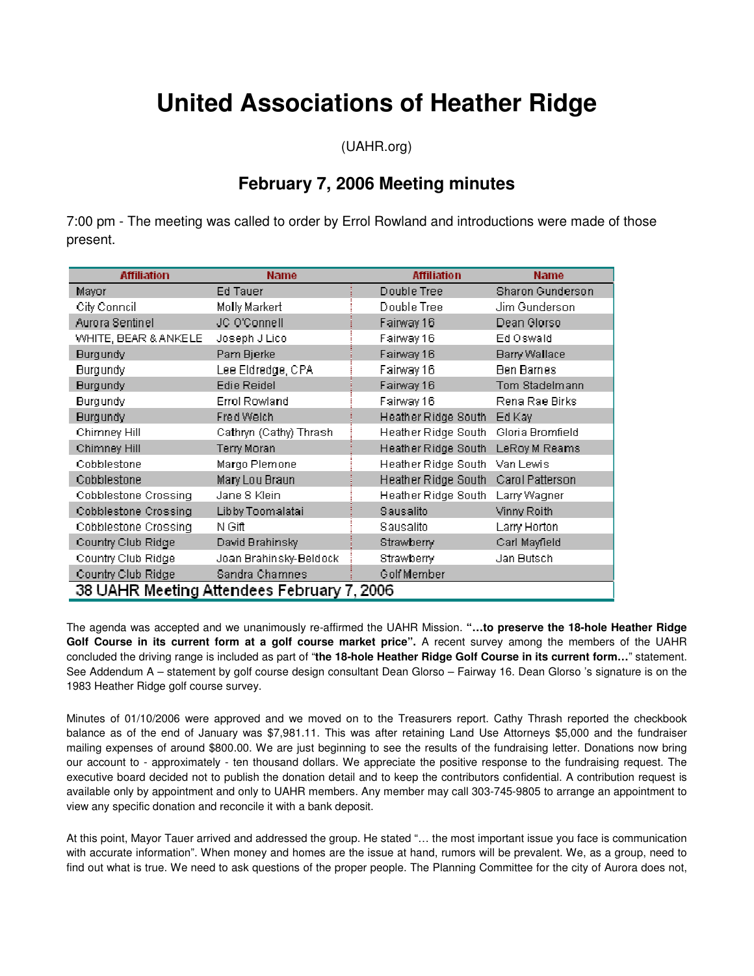# **United Associations of Heather Ridge**

(UAHR.org)

# **February 7, 2006 Meeting minutes**

7:00 pm - The meeting was called to order by Errol Rowland and introductions were made of those present.

| <b>Affiliation</b>                         | <b>Name</b>            | <b>Affiliation</b>                   | <b>Name</b>             |
|--------------------------------------------|------------------------|--------------------------------------|-------------------------|
| Mayor                                      | Ed Tauer               | Double Tree                          | <b>Sharon Gunderson</b> |
| City Conneil                               | Molly Markert          | Double Tree                          | Jim Gunderson           |
| Aurora Sentinel                            | JC O'Connell           | Fairway 16                           | Dean Glorso             |
| WHITE, BEAR & ANKELE                       | Joseph J Lico          | Fairway 16                           | Ed Oswald               |
| <b>Burgundy</b>                            | Pam Bjerke             | Fairway 16                           | <b>Barry Wallace</b>    |
| <b>Burgundy</b>                            | Lee Eldredge, CPA      | Fairway 16                           | <b>Ben Barnes</b>       |
| <b>Burgundy</b>                            | <b>Edie Reidel</b>     | Fairway 16                           | Tom Stadelmann          |
| <b>Burgundy</b>                            | <b>Errol Rowland</b>   | Fairway 16                           | Rena Rae Birks          |
| <b>Burgundy</b>                            | Fred Welch             | Heather Ridge South Ed Kay           |                         |
| Chimney Hill                               | Cathryn (Cathy) Thrash | Heather Ridge South Gloria Bromfield |                         |
| Chimney Hill                               | Terry Moran            | Heather Ridge South LeRoy M Reams    |                         |
| Cobblestone                                | Margo Plemone          | Heather Ridge South                  | Van Lewis               |
| Cobblestone                                | Mary Lou Braun         | Heather Ridge South Carol Patterson  |                         |
| Cobblestone Crossing                       | Jane S Klein           | Heather Ridge South                  | Larry Wagner            |
| Cobblestone Crossing                       | Libby Toomalatai       | Sausalito                            | Vinny Roith             |
| Cobblestone Crossing                       | N Gift                 | Sausalito                            | Larry Horton            |
| Country Club Ridge                         | David Brahinsky        | Strawberry                           | Carl Mayfield           |
| Country Club Ridge                         | Joan Brahinsky-Beldock | Strawberry                           | Jan Butsch              |
| Country Club Ridge                         | Sandra Chamnes         | Golf Member                          |                         |
| 38 UAHR Meeting Attendees February 7, 2006 |                        |                                      |                         |

The agenda was accepted and we unanimously re-affirmed the UAHR Mission. **"…to preserve the 18-hole Heather Ridge**  Golf Course in its current form at a golf course market price". A recent survey among the members of the UAHR concluded the driving range is included as part of "**the 18-hole Heather Ridge Golf Course in its current form…**" statement. See Addendum A – statement by golf course design consultant Dean Glorso – Fairway 16. Dean Glorso 's signature is on the 1983 Heather Ridge golf course survey.

Minutes of 01/10/2006 were approved and we moved on to the Treasurers report. Cathy Thrash reported the checkbook balance as of the end of January was \$7,981.11. This was after retaining Land Use Attorneys \$5,000 and the fundraiser mailing expenses of around \$800.00. We are just beginning to see the results of the fundraising letter. Donations now bring our account to - approximately - ten thousand dollars. We appreciate the positive response to the fundraising request. The executive board decided not to publish the donation detail and to keep the contributors confidential. A contribution request is available only by appointment and only to UAHR members. Any member may call 303-745-9805 to arrange an appointment to view any specific donation and reconcile it with a bank deposit.

At this point, Mayor Tauer arrived and addressed the group. He stated "… the most important issue you face is communication with accurate information". When money and homes are the issue at hand, rumors will be prevalent. We, as a group, need to find out what is true. We need to ask questions of the proper people. The Planning Committee for the city of Aurora does not,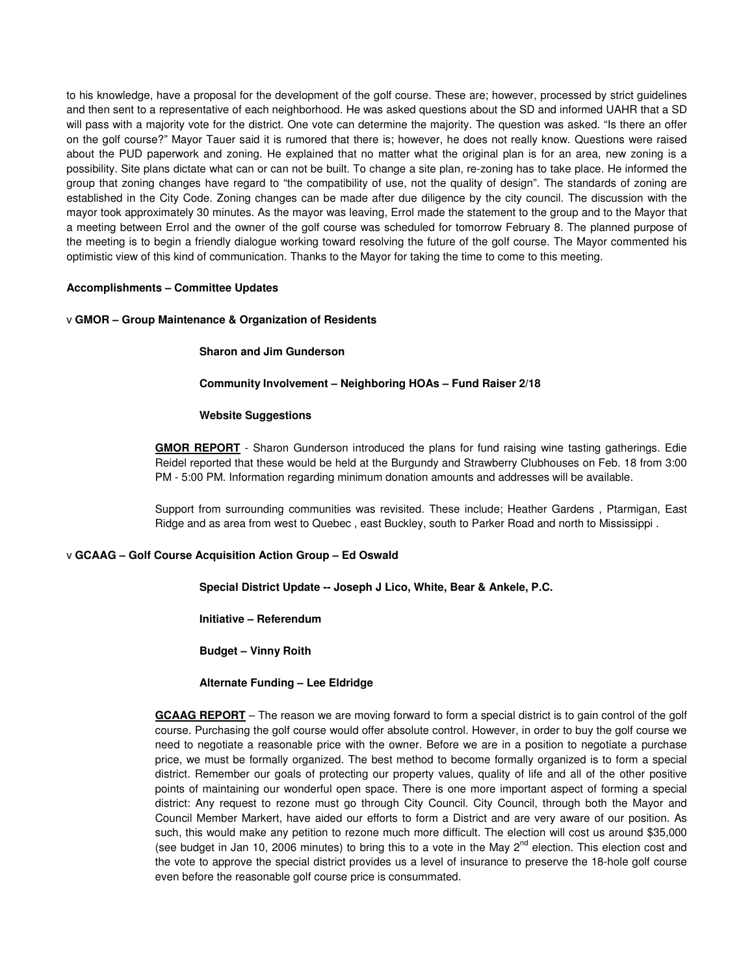to his knowledge, have a proposal for the development of the golf course. These are; however, processed by strict guidelines and then sent to a representative of each neighborhood. He was asked questions about the SD and informed UAHR that a SD will pass with a majority vote for the district. One vote can determine the majority. The question was asked. "Is there an offer on the golf course?" Mayor Tauer said it is rumored that there is; however, he does not really know. Questions were raised about the PUD paperwork and zoning. He explained that no matter what the original plan is for an area, new zoning is a possibility. Site plans dictate what can or can not be built. To change a site plan, re-zoning has to take place. He informed the group that zoning changes have regard to "the compatibility of use, not the quality of design". The standards of zoning are established in the City Code. Zoning changes can be made after due diligence by the city council. The discussion with the mayor took approximately 30 minutes. As the mayor was leaving, Errol made the statement to the group and to the Mayor that a meeting between Errol and the owner of the golf course was scheduled for tomorrow February 8. The planned purpose of the meeting is to begin a friendly dialogue working toward resolving the future of the golf course. The Mayor commented his optimistic view of this kind of communication. Thanks to the Mayor for taking the time to come to this meeting.

# **Accomplishments – Committee Updates**

# v **GMOR – Group Maintenance & Organization of Residents**

# **Sharon and Jim Gunderson**

# **Community Involvement – Neighboring HOAs – Fund Raiser 2/18**

# **Website Suggestions**

**GMOR REPORT** - Sharon Gunderson introduced the plans for fund raising wine tasting gatherings. Edie Reidel reported that these would be held at the Burgundy and Strawberry Clubhouses on Feb. 18 from 3:00 PM - 5:00 PM. Information regarding minimum donation amounts and addresses will be available.

Support from surrounding communities was revisited. These include; Heather Gardens , Ptarmigan, East Ridge and as area from west to Quebec , east Buckley, south to Parker Road and north to Mississippi .

# v **GCAAG – Golf Course Acquisition Action Group – Ed Oswald**

**Special District Update -- Joseph J Lico, White, Bear & Ankele, P.C.** 

**Initiative – Referendum** 

**Budget – Vinny Roith** 

# **Alternate Funding – Lee Eldridge**

**GCAAG REPORT** – The reason we are moving forward to form a special district is to gain control of the golf course. Purchasing the golf course would offer absolute control. However, in order to buy the golf course we need to negotiate a reasonable price with the owner. Before we are in a position to negotiate a purchase price, we must be formally organized. The best method to become formally organized is to form a special district. Remember our goals of protecting our property values, quality of life and all of the other positive points of maintaining our wonderful open space. There is one more important aspect of forming a special district: Any request to rezone must go through City Council. City Council, through both the Mayor and Council Member Markert, have aided our efforts to form a District and are very aware of our position. As such, this would make any petition to rezone much more difficult. The election will cost us around \$35,000 (see budget in Jan 10, 2006 minutes) to bring this to a vote in the May  $2^{nd}$  election. This election cost and the vote to approve the special district provides us a level of insurance to preserve the 18-hole golf course even before the reasonable golf course price is consummated.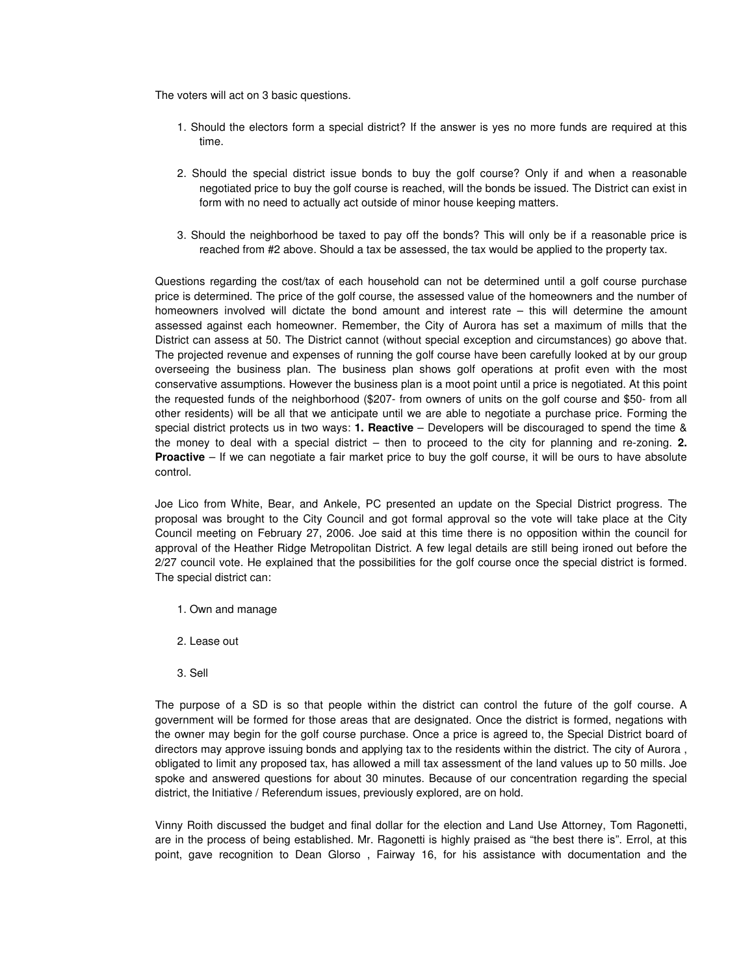The voters will act on 3 basic questions.

- 1. Should the electors form a special district? If the answer is yes no more funds are required at this time.
- 2. Should the special district issue bonds to buy the golf course? Only if and when a reasonable negotiated price to buy the golf course is reached, will the bonds be issued. The District can exist in form with no need to actually act outside of minor house keeping matters.
- 3. Should the neighborhood be taxed to pay off the bonds? This will only be if a reasonable price is reached from #2 above. Should a tax be assessed, the tax would be applied to the property tax.

Questions regarding the cost/tax of each household can not be determined until a golf course purchase price is determined. The price of the golf course, the assessed value of the homeowners and the number of homeowners involved will dictate the bond amount and interest rate – this will determine the amount assessed against each homeowner. Remember, the City of Aurora has set a maximum of mills that the District can assess at 50. The District cannot (without special exception and circumstances) go above that. The projected revenue and expenses of running the golf course have been carefully looked at by our group overseeing the business plan. The business plan shows golf operations at profit even with the most conservative assumptions. However the business plan is a moot point until a price is negotiated. At this point the requested funds of the neighborhood (\$207- from owners of units on the golf course and \$50- from all other residents) will be all that we anticipate until we are able to negotiate a purchase price. Forming the special district protects us in two ways: **1. Reactive** – Developers will be discouraged to spend the time & the money to deal with a special district – then to proceed to the city for planning and re-zoning. **2. Proactive** – If we can negotiate a fair market price to buy the golf course, it will be ours to have absolute control.

Joe Lico from White, Bear, and Ankele, PC presented an update on the Special District progress. The proposal was brought to the City Council and got formal approval so the vote will take place at the City Council meeting on February 27, 2006. Joe said at this time there is no opposition within the council for approval of the Heather Ridge Metropolitan District. A few legal details are still being ironed out before the 2/27 council vote. He explained that the possibilities for the golf course once the special district is formed. The special district can:

- 1. Own and manage
- 2. Lease out
- 3. Sell

The purpose of a SD is so that people within the district can control the future of the golf course. A government will be formed for those areas that are designated. Once the district is formed, negations with the owner may begin for the golf course purchase. Once a price is agreed to, the Special District board of directors may approve issuing bonds and applying tax to the residents within the district. The city of Aurora , obligated to limit any proposed tax, has allowed a mill tax assessment of the land values up to 50 mills. Joe spoke and answered questions for about 30 minutes. Because of our concentration regarding the special district, the Initiative / Referendum issues, previously explored, are on hold.

Vinny Roith discussed the budget and final dollar for the election and Land Use Attorney, Tom Ragonetti, are in the process of being established. Mr. Ragonetti is highly praised as "the best there is". Errol, at this point, gave recognition to Dean Glorso , Fairway 16, for his assistance with documentation and the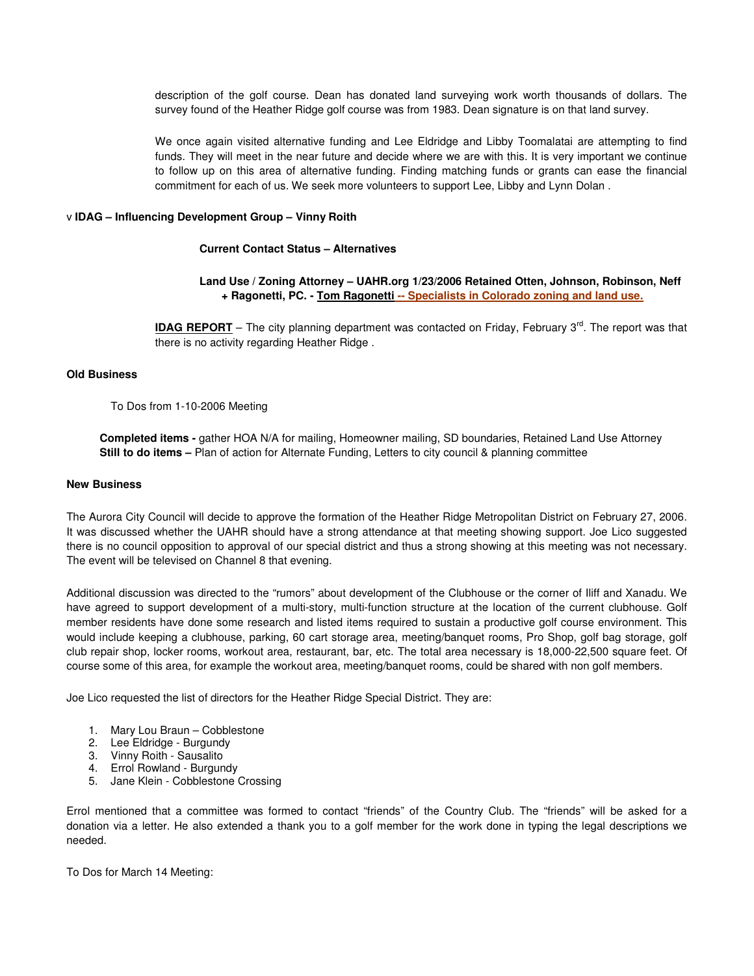description of the golf course. Dean has donated land surveying work worth thousands of dollars. The survey found of the Heather Ridge golf course was from 1983. Dean signature is on that land survey.

We once again visited alternative funding and Lee Eldridge and Libby Toomalatai are attempting to find funds. They will meet in the near future and decide where we are with this. It is very important we continue to follow up on this area of alternative funding. Finding matching funds or grants can ease the financial commitment for each of us. We seek more volunteers to support Lee, Libby and Lynn Dolan .

# v **IDAG – Influencing Development Group – Vinny Roith**

# **Current Contact Status – Alternatives**

# **Land Use / Zoning Attorney – UAHR.org 1/23/2006 Retained Otten, Johnson, Robinson, Neff + Ragonetti, PC. - Tom Ragonetti -- Specialists in Colorado zoning and land use.**

**IDAG REPORT** – The city planning department was contacted on Friday, February 3<sup>rd</sup>. The report was that there is no activity regarding Heather Ridge .

# **Old Business**

# To Dos from 1-10-2006 Meeting

 **Completed items -** gather HOA N/A for mailing, Homeowner mailing, SD boundaries, Retained Land Use Attorney  **Still to do items –** Plan of action for Alternate Funding, Letters to city council & planning committee

# **New Business**

The Aurora City Council will decide to approve the formation of the Heather Ridge Metropolitan District on February 27, 2006. It was discussed whether the UAHR should have a strong attendance at that meeting showing support. Joe Lico suggested there is no council opposition to approval of our special district and thus a strong showing at this meeting was not necessary. The event will be televised on Channel 8 that evening.

Additional discussion was directed to the "rumors" about development of the Clubhouse or the corner of Iliff and Xanadu. We have agreed to support development of a multi-story, multi-function structure at the location of the current clubhouse. Golf member residents have done some research and listed items required to sustain a productive golf course environment. This would include keeping a clubhouse, parking, 60 cart storage area, meeting/banquet rooms, Pro Shop, golf bag storage, golf club repair shop, locker rooms, workout area, restaurant, bar, etc. The total area necessary is 18,000-22,500 square feet. Of course some of this area, for example the workout area, meeting/banquet rooms, could be shared with non golf members.

Joe Lico requested the list of directors for the Heather Ridge Special District. They are:

- 1. Mary Lou Braun Cobblestone
- 2. Lee Eldridge Burgundy
- 3. Vinny Roith Sausalito
- 4. Errol Rowland Burgundy
- 5. Jane Klein Cobblestone Crossing

Errol mentioned that a committee was formed to contact "friends" of the Country Club. The "friends" will be asked for a donation via a letter. He also extended a thank you to a golf member for the work done in typing the legal descriptions we needed.

To Dos for March 14 Meeting: